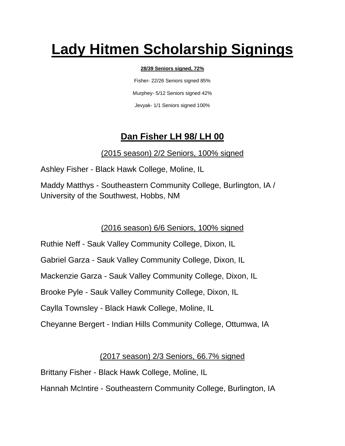# **Lady Hitmen Scholarship Signings**

#### **28/39 Seniors signed, 72%**

Fisher- 22/26 Seniors signed 85% Murphey- 5/12 Seniors signed 42% Jevyak- 1/1 Seniors signed 100%

# **Dan Fisher LH 98/ LH 00**

## (2015 season) 2/2 Seniors, 100% signed

Ashley Fisher - Black Hawk College, Moline, IL

Maddy Matthys - Southeastern Community College, Burlington, IA / University of the Southwest, Hobbs, NM

(2016 season) 6/6 Seniors, 100% signed

Ruthie Neff - Sauk Valley Community College, Dixon, IL Gabriel Garza - Sauk Valley Community College, Dixon, IL Mackenzie Garza - Sauk Valley Community College, Dixon, IL Brooke Pyle - Sauk Valley Community College, Dixon, IL Caylla Townsley - Black Hawk College, Moline, IL Cheyanne Bergert - Indian Hills Community College, Ottumwa, IA

## (2017 season) 2/3 Seniors, 66.7% signed

Brittany Fisher - Black Hawk College, Moline, IL

Hannah McIntire - Southeastern Community College, Burlington, IA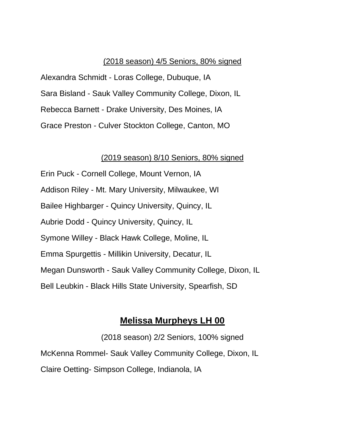#### (2018 season) 4/5 Seniors, 80% signed

Alexandra Schmidt - Loras College, Dubuque, IA Sara Bisland - Sauk Valley Community College, Dixon, IL Rebecca Barnett - Drake University, Des Moines, IA Grace Preston - Culver Stockton College, Canton, MO

#### (2019 season) 8/10 Seniors, 80% signed

Erin Puck - Cornell College, Mount Vernon, IA Addison Riley - Mt. Mary University, Milwaukee, WI Bailee Highbarger - Quincy University, Quincy, IL Aubrie Dodd - Quincy University, Quincy, IL Symone Willey - Black Hawk College, Moline, IL Emma Spurgettis - Millikin University, Decatur, IL Megan Dunsworth - Sauk Valley Community College, Dixon, IL Bell Leubkin - Black Hills State University, Spearfish, SD

### **Melissa Murpheys LH 00**

(2018 season) 2/2 Seniors, 100% signed McKenna Rommel- Sauk Valley Community College, Dixon, IL Claire Oetting- Simpson College, Indianola, IA